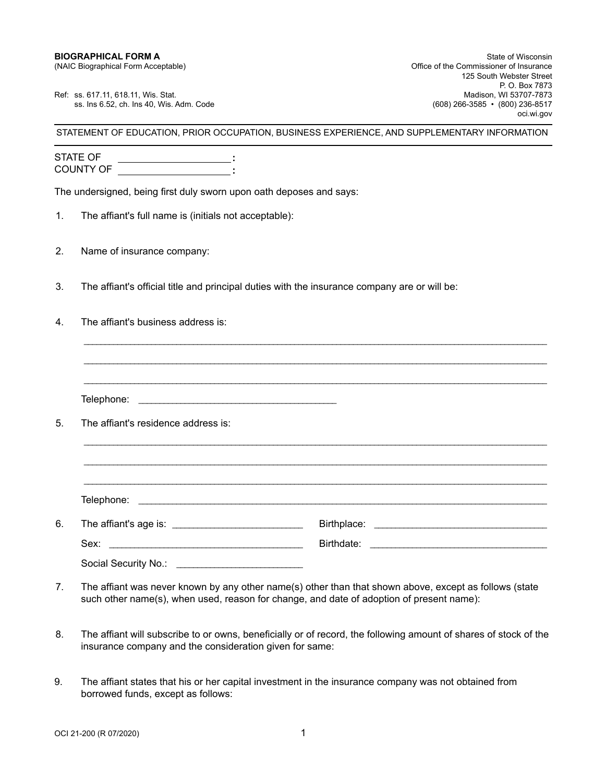Ref: ss. 617.11, 618.11, Wis. Stat. Madison, WI 53707-7873<br>Ss. Ins 6.52, ch. Ins 40, Wis. Adm. Code (608) 866-3585 • (800) 236-8517 ss. Ins 6.52, ch. Ins 40, Wis. Adm. Code

STATEMENT OF EDUCATION, PRIOR OCCUPATION, BUSINESS EXPERIENCE, AND SUPPLEMENTARY INFORMATION

STATE OF COUNTY OF **: :**

The undersigned, being first duly sworn upon oath deposes and says:

- 1. The affiant's full name is (initials not acceptable):
- 2. Name of insurance company:
- 3. The affiant's official title and principal duties with the insurance company are or will be:
- 4. The affiant's business address is:

Telephone: \_\_\_\_\_\_\_\_\_\_\_\_\_\_\_\_\_\_\_\_\_\_\_\_\_\_\_\_\_\_\_\_\_\_\_\_\_\_\_\_\_\_\_\_\_\_\_

\_\_\_\_\_\_\_\_\_\_\_\_\_\_\_\_\_\_\_\_\_\_\_\_\_\_\_\_\_\_\_\_\_\_\_\_\_\_\_\_\_\_\_\_\_\_\_\_\_\_\_\_\_\_\_\_\_\_\_\_\_\_\_\_\_\_\_\_\_\_\_\_\_\_\_\_\_\_\_\_\_\_\_\_\_\_\_\_\_\_\_\_\_\_\_\_\_\_\_\_\_\_\_\_\_\_\_\_\_\_

\_\_\_\_\_\_\_\_\_\_\_\_\_\_\_\_\_\_\_\_\_\_\_\_\_\_\_\_\_\_\_\_\_\_\_\_\_\_\_\_\_\_\_\_\_\_\_\_\_\_\_\_\_\_\_\_\_\_\_\_\_\_\_\_\_\_\_\_\_\_\_\_\_\_\_\_\_\_\_\_\_\_\_\_\_\_\_\_\_\_\_\_\_\_\_\_\_\_\_\_\_\_\_\_\_\_\_\_\_\_

\_\_\_\_\_\_\_\_\_\_\_\_\_\_\_\_\_\_\_\_\_\_\_\_\_\_\_\_\_\_\_\_\_\_\_\_\_\_\_\_\_\_\_\_\_\_\_\_\_\_\_\_\_\_\_\_\_\_\_\_\_\_\_\_\_\_\_\_\_\_\_\_\_\_\_\_\_\_\_\_\_\_\_\_\_\_\_\_\_\_\_\_\_\_\_\_\_\_\_\_\_\_\_\_\_\_\_\_\_\_

\_\_\_\_\_\_\_\_\_\_\_\_\_\_\_\_\_\_\_\_\_\_\_\_\_\_\_\_\_\_\_\_\_\_\_\_\_\_\_\_\_\_\_\_\_\_\_\_\_\_\_\_\_\_\_\_\_\_\_\_\_\_\_\_\_\_\_\_\_\_\_\_\_\_\_\_\_\_\_\_\_\_\_\_\_\_\_\_\_\_\_\_\_\_\_\_\_\_\_\_\_\_\_\_\_\_\_\_\_\_

5. The affiant's residence address is:

\_\_\_\_\_\_\_\_\_\_\_\_\_\_\_\_\_\_\_\_\_\_\_\_\_\_\_\_\_\_\_\_\_\_\_\_\_\_\_\_\_\_\_\_\_\_\_\_\_\_\_\_\_\_\_\_\_\_\_\_\_\_\_\_\_\_\_\_\_\_\_\_\_\_\_\_\_\_\_\_\_\_\_\_\_\_\_\_\_\_\_\_\_\_\_\_\_\_\_\_\_\_\_\_\_\_\_\_\_\_ \_\_\_\_\_\_\_\_\_\_\_\_\_\_\_\_\_\_\_\_\_\_\_\_\_\_\_\_\_\_\_\_\_\_\_\_\_\_\_\_\_\_\_\_\_\_\_\_\_\_\_\_\_\_\_\_\_\_\_\_\_\_\_\_\_\_\_\_\_\_\_\_\_\_\_\_\_\_\_\_\_\_\_\_\_\_\_\_\_\_\_\_\_\_\_\_\_\_\_\_\_\_\_\_\_\_\_\_\_\_ Telephone: 6. The affiant's age is: \_\_\_\_\_\_\_\_\_\_\_\_\_\_\_\_\_\_\_\_\_\_\_\_\_\_\_\_\_\_\_ Birthplace: \_\_\_\_\_\_\_\_\_\_\_\_\_\_\_\_\_\_\_\_\_\_\_\_\_\_\_\_\_\_\_\_\_\_\_\_\_\_\_\_\_ Sex: \_\_\_\_\_\_\_\_\_\_\_\_\_\_\_\_\_\_\_\_\_\_\_\_\_\_\_\_\_\_\_\_\_\_\_\_\_\_\_\_\_\_\_\_\_\_ Birthdate: \_\_\_\_\_\_\_\_\_\_\_\_\_\_\_\_\_\_\_\_\_\_\_\_\_\_\_\_\_\_\_\_\_\_\_\_\_\_\_\_\_\_ Social Security No.: \_\_\_\_\_\_\_\_\_\_\_\_\_\_\_\_\_\_\_\_\_\_\_\_\_\_\_\_\_\_

- 7. The affiant was never known by any other name(s) other than that shown above, except as follows (state such other name(s), when used, reason for change, and date of adoption of present name):
- 8. The affiant will subscribe to or owns, beneficially or of record, the following amount of shares of stock of the insurance company and the consideration given for same:
- 9. The affiant states that his or her capital investment in the insurance company was not obtained from borrowed funds, except as follows: